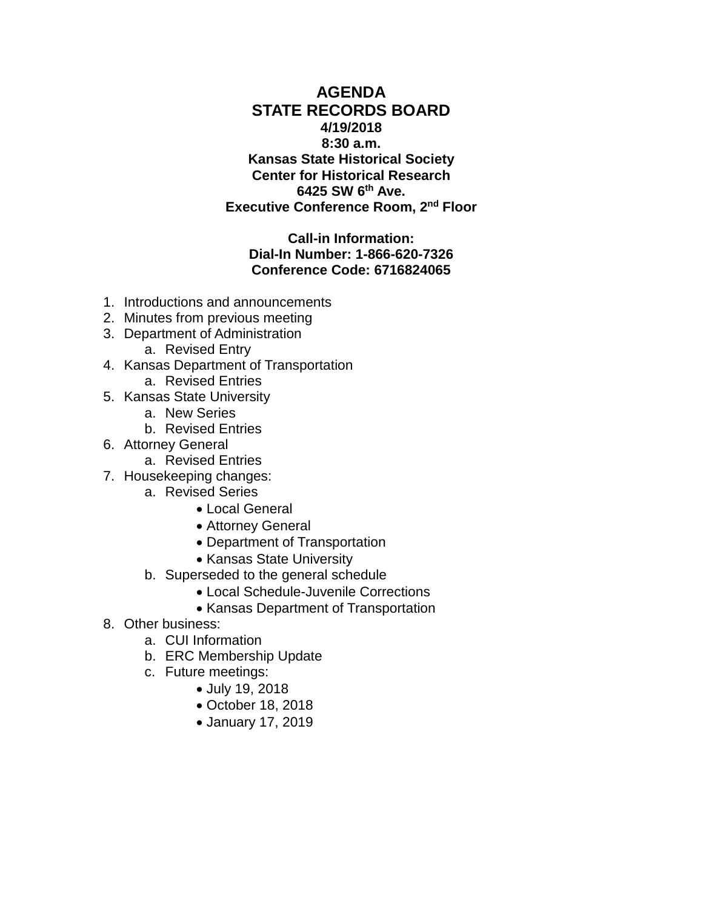**AGENDA STATE RECORDS BOARD 4/19/2018 8:30 a.m. Kansas State Historical Society Center for Historical Research 6425 SW 6th Ave. Executive Conference Room, 2nd Floor**

**Call-in Information: Dial-In Number: 1-866-620-7326 Conference Code: 6716824065**

- 1. Introductions and announcements
- 2. Minutes from previous meeting
- 3. Department of Administration
	- a. Revised Entry
- 4. Kansas Department of Transportation
	- a. Revised Entries
- 5. Kansas State University
	- a. New Series
	- b. Revised Entries
- 6. Attorney General
	- a. Revised Entries
- 7. Housekeeping changes:
	- a. Revised Series
		- Local General
		- Attorney General
		- Department of Transportation
		- Kansas State University
	- b. Superseded to the general schedule
		- Local Schedule-Juvenile Corrections
		- Kansas Department of Transportation
- 8. Other business:
	- a. CUI Information
	- b. ERC Membership Update
	- c. Future meetings:
		- July 19, 2018
		- October 18, 2018
		- January 17, 2019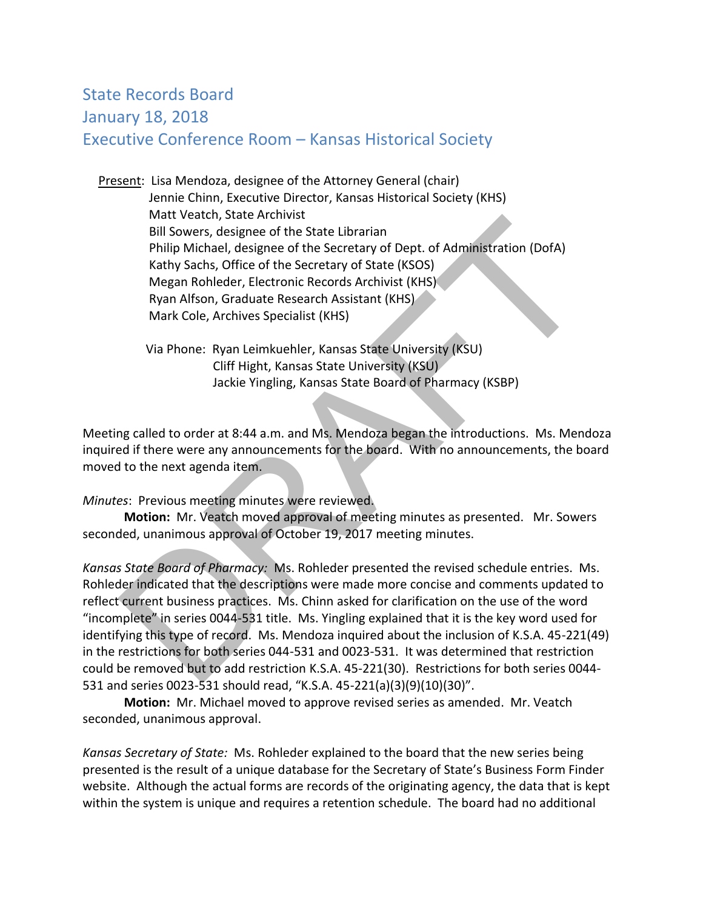# State Records Board January 18, 2018 Executive Conference Room – Kansas Historical Society

 Present: Lisa Mendoza, designee of the Attorney General (chair) Jennie Chinn, Executive Director, Kansas Historical Society (KHS) Matt Veatch, State Archivist Bill Sowers, designee of the State Librarian Philip Michael, designee of the Secretary of Dept. of Administration (DofA) Kathy Sachs, Office of the Secretary of State (KSOS) Megan Rohleder, Electronic Records Archivist (KHS) Ryan Alfson, Graduate Research Assistant (KHS) Mark Cole, Archives Specialist (KHS)

 Via Phone: Ryan Leimkuehler, Kansas State University (KSU) Cliff Hight, Kansas State University (KSU) Jackie Yingling, Kansas State Board of Pharmacy (KSBP)

Meeting called to order at 8:44 a.m. and Ms. Mendoza began the introductions. Ms. Mendoza inquired if there were any announcements for the board. With no announcements, the board moved to the next agenda item.

*Minutes*: Previous meeting minutes were reviewed.

 **Motion:** Mr. Veatch moved approval of meeting minutes as presented. Mr. Sowers seconded, unanimous approval of October 19, 2017 meeting minutes.

*Kansas State Board of Pharmacy:* Ms. Rohleder presented the revised schedule entries. Ms. Rohleder indicated that the descriptions were made more concise and comments updated to reflect current business practices. Ms. Chinn asked for clarification on the use of the word "incomplete" in series 0044-531 title. Ms. Yingling explained that it is the key word used for identifying this type of record. Ms. Mendoza inquired about the inclusion of K.S.A. 45-221(49) in the restrictions for both series 044-531 and 0023-531. It was determined that restriction could be removed but to add restriction K.S.A. 45-221(30). Restrictions for both series 0044- 531 and series 0023-531 should read, "K.S.A. 45-221(a)(3)(9)(10)(30)". mut veacur, state retunios<br>
Bill Sowers, designee of the State Librarian<br>
Philip Michael, designee of the Secretary of Dept. of Administration (DofA)<br>
Kathy Sachs, Office of the Secretary of State (KSOS)<br>
Megan Rohleder, E

**Motion:** Mr. Michael moved to approve revised series as amended. Mr. Veatch seconded, unanimous approval.

*Kansas Secretary of State:* Ms. Rohleder explained to the board that the new series being presented is the result of a unique database for the Secretary of State's Business Form Finder website. Although the actual forms are records of the originating agency, the data that is kept within the system is unique and requires a retention schedule. The board had no additional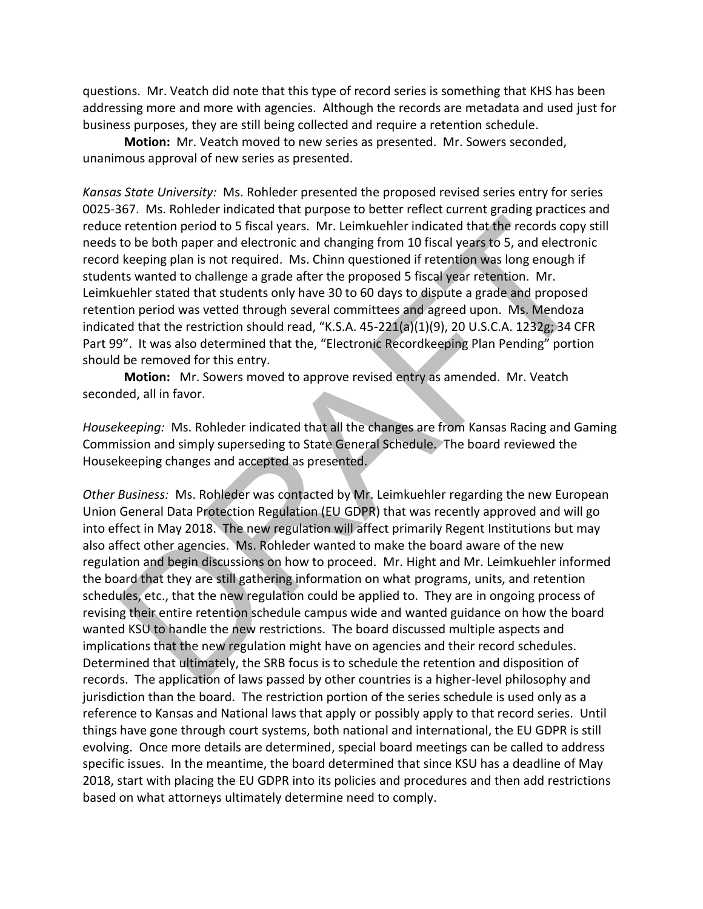questions. Mr. Veatch did note that this type of record series is something that KHS has been addressing more and more with agencies. Although the records are metadata and used just for business purposes, they are still being collected and require a retention schedule.

**Motion:** Mr. Veatch moved to new series as presented. Mr. Sowers seconded, unanimous approval of new series as presented.

*Kansas State University:* Ms. Rohleder presented the proposed revised series entry for series 0025-367. Ms. Rohleder indicated that purpose to better reflect current grading practices and reduce retention period to 5 fiscal years. Mr. Leimkuehler indicated that the records copy still needs to be both paper and electronic and changing from 10 fiscal years to 5, and electronic record keeping plan is not required. Ms. Chinn questioned if retention was long enough if students wanted to challenge a grade after the proposed 5 fiscal year retention. Mr. Leimkuehler stated that students only have 30 to 60 days to dispute a grade and proposed retention period was vetted through several committees and agreed upon. Ms. Mendoza indicated that the restriction should read, "K.S.A. 45-221(a)(1)(9), 20 U.S.C.A. 1232g; 34 CFR Part 99". It was also determined that the, "Electronic Recordkeeping Plan Pending" portion should be removed for this entry.

**Motion:** Mr. Sowers moved to approve revised entry as amended. Mr. Veatch seconded, all in favor.

*Housekeeping:* Ms. Rohleder indicated that all the changes are from Kansas Racing and Gaming Commission and simply superseding to State General Schedule. The board reviewed the Housekeeping changes and accepted as presented.

*Other Business:* Ms. Rohleder was contacted by Mr. Leimkuehler regarding the new European Union General Data Protection Regulation (EU GDPR) that was recently approved and will go into effect in May 2018. The new regulation will affect primarily Regent Institutions but may also affect other agencies. Ms. Rohleder wanted to make the board aware of the new regulation and begin discussions on how to proceed. Mr. Hight and Mr. Leimkuehler informed the board that they are still gathering information on what programs, units, and retention schedules, etc., that the new regulation could be applied to. They are in ongoing process of revising their entire retention schedule campus wide and wanted guidance on how the board wanted KSU to handle the new restrictions. The board discussed multiple aspects and implications that the new regulation might have on agencies and their record schedules. Determined that ultimately, the SRB focus is to schedule the retention and disposition of records. The application of laws passed by other countries is a higher-level philosophy and jurisdiction than the board. The restriction portion of the series schedule is used only as a reference to Kansas and National laws that apply or possibly apply to that record series. Until things have gone through court systems, both national and international, the EU GDPR is still evolving. Once more details are determined, special board meetings can be called to address specific issues. In the meantime, the board determined that since KSU has a deadline of May 2018, start with placing the EU GDPR into its policies and procedures and then add restrictions based on what attorneys ultimately determine need to comply. e retention period to 5 fiscal years. Mr. Leimkuehler indicated that the records copy<br>
to be both paper and electronic and changing from 10 fiscal years to 5, and electron<br>
the keeping plan is not required. Ms. Chinn quest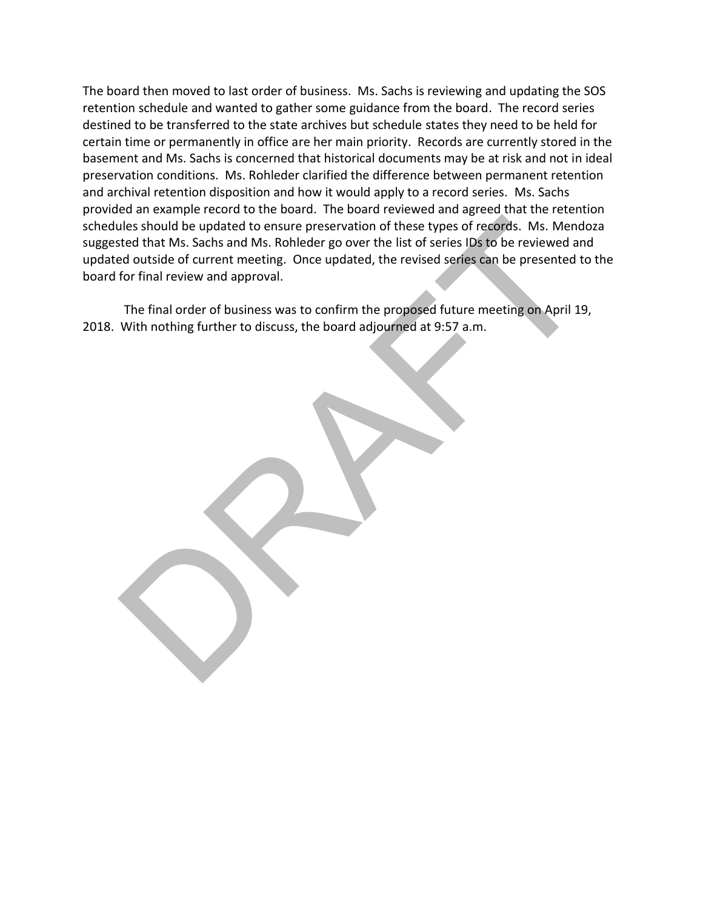The board then moved to last order of business. Ms. Sachs is reviewing and updating the SOS retention schedule and wanted to gather some guidance from the board. The record series destined to be transferred to the state archives but schedule states they need to be held for certain time or permanently in office are her main priority. Records are currently stored in the basement and Ms. Sachs is concerned that historical documents may be at risk and not in ideal preservation conditions. Ms. Rohleder clarified the difference between permanent retention and archival retention disposition and how it would apply to a record series. Ms. Sachs provided an example record to the board. The board reviewed and agreed that the retention schedules should be updated to ensure preservation of these types of records. Ms. Mendoza suggested that Ms. Sachs and Ms. Rohleder go over the list of series IDs to be reviewed and updated outside of current meeting. Once updated, the revised series can be presented to the board for final review and approval. The should be updated to ensure preservation of these types of records. Ms. Mendted that Ms. Scholed outside of current meeting. Once updated, the revised series IDS to be reviewed an ded outside of current meeting. Once u

The final order of business was to confirm the proposed future meeting on April 19, 2018. With nothing further to discuss, the board adjourned at 9:57 a.m.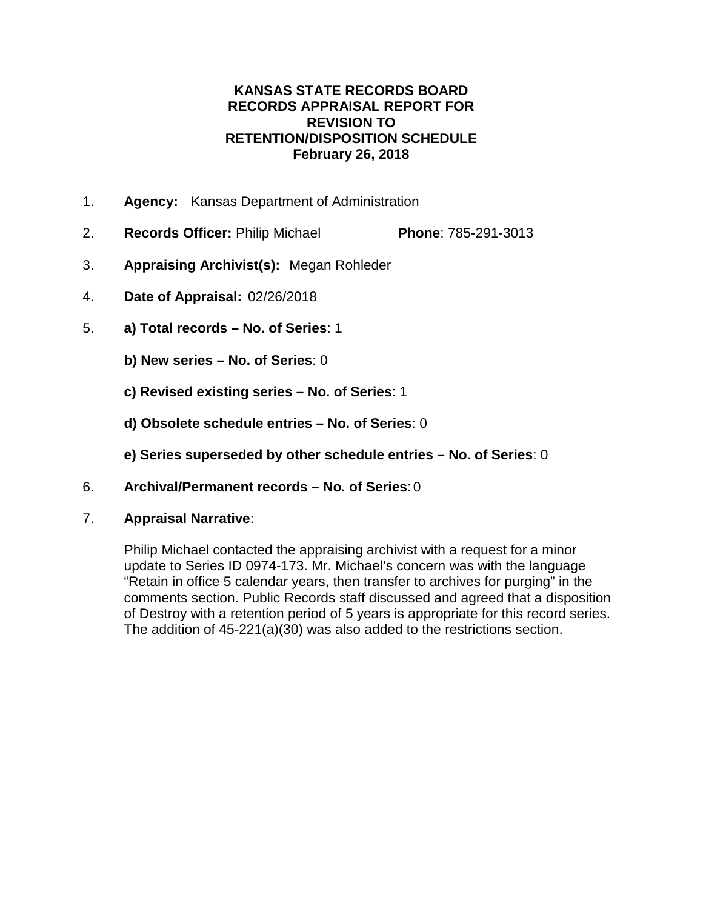#### **KANSAS STATE RECORDS BOARD RECORDS APPRAISAL REPORT FOR REVISION TO RETENTION/DISPOSITION SCHEDULE February 26, 2018**

- 1. **Agency:** Kansas Department of Administration
- 2. **Records Officer:** Philip Michael **Phone**: 785-291-3013
- 3. **Appraising Archivist(s):** Megan Rohleder
- 4. **Date of Appraisal:** 02/26/2018
- 5. **a) Total records – No. of Series**: 1
	- **b) New series – No. of Series**: 0
	- **c) Revised existing series – No. of Series**: 1
	- **d) Obsolete schedule entries – No. of Series**: 0
	- **e) Series superseded by other schedule entries – No. of Series**: 0
- 6. **Archival/Permanent records – No. of Series**: 0
- 7. **Appraisal Narrative**:

Philip Michael contacted the appraising archivist with a request for a minor update to Series ID 0974-173. Mr. Michael's concern was with the language "Retain in office 5 calendar years, then transfer to archives for purging" in the comments section. Public Records staff discussed and agreed that a disposition of Destroy with a retention period of 5 years is appropriate for this record series. The addition of 45-221(a)(30) was also added to the restrictions section.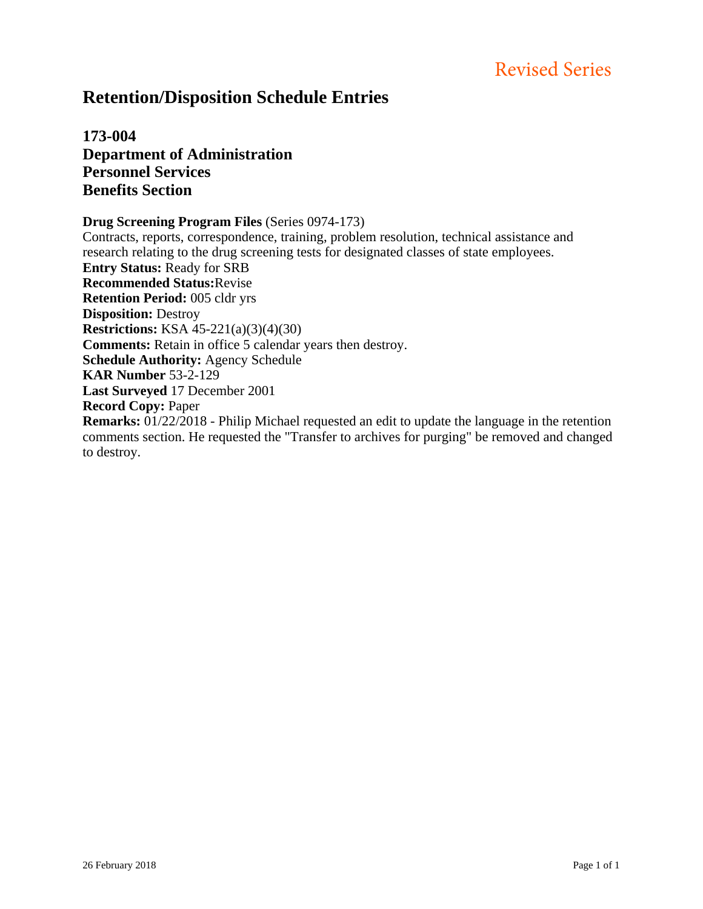# **Retention/Disposition Schedule Entries**

**173-004 Department of Administration Personnel Services Benefits Section**

**Drug Screening Program Files** (Series 0974-173)

Contracts, reports, correspondence, training, problem resolution, technical assistance and research relating to the drug screening tests for designated classes of state employees. **Entry Status:** Ready for SRB **Recommended Status:**Revise **Retention Period:** 005 cldr yrs **Disposition:** Destroy **Restrictions:** KSA 45-221(a)(3)(4)(30) **Comments:** Retain in office 5 calendar years then destroy. **Schedule Authority:** Agency Schedule **KAR Number** 53-2-129 **Last Surveyed** 17 December 2001 **Record Copy:** Paper **Remarks:** 01/22/2018 - Philip Michael requested an edit to update the language in the retention comments section. He requested the "Transfer to archives for purging" be removed and changed to destroy.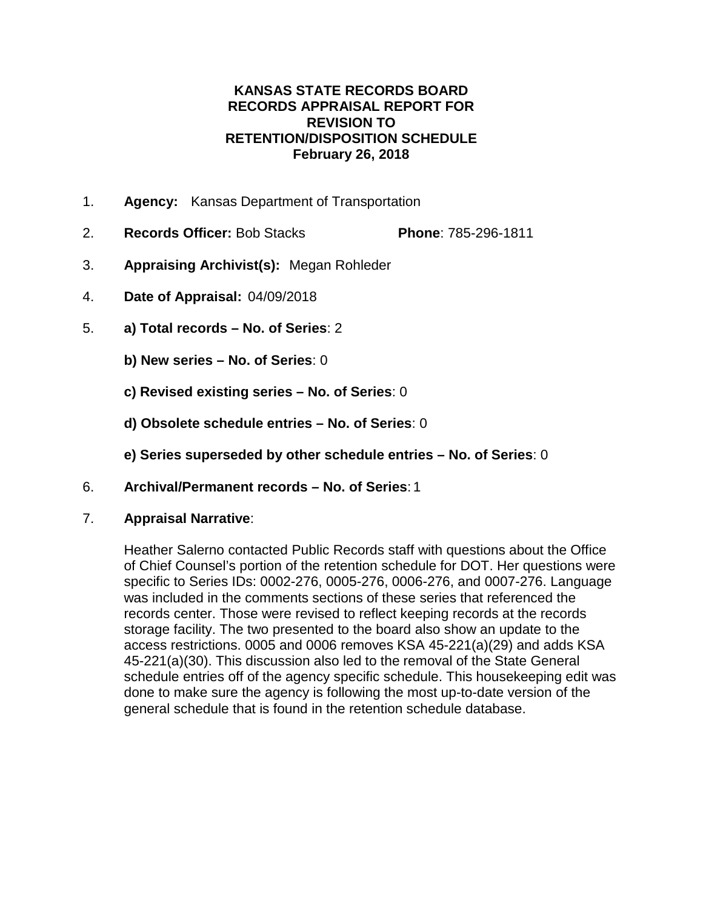#### **KANSAS STATE RECORDS BOARD RECORDS APPRAISAL REPORT FOR REVISION TO RETENTION/DISPOSITION SCHEDULE February 26, 2018**

- 1. **Agency:** Kansas Department of Transportation
- 2. **Records Officer:** Bob Stacks **Phone**: 785-296-1811
- 3. **Appraising Archivist(s):** Megan Rohleder
- 4. **Date of Appraisal:** 04/09/2018
- 5. **a) Total records – No. of Series**: 2
	- **b) New series – No. of Series**: 0
	- **c) Revised existing series – No. of Series**: 0
	- **d) Obsolete schedule entries – No. of Series**: 0
	- **e) Series superseded by other schedule entries – No. of Series**: 0
- 6. **Archival/Permanent records – No. of Series**: 1
- 7. **Appraisal Narrative**:

Heather Salerno contacted Public Records staff with questions about the Office of Chief Counsel's portion of the retention schedule for DOT. Her questions were specific to Series IDs: 0002-276, 0005-276, 0006-276, and 0007-276. Language was included in the comments sections of these series that referenced the records center. Those were revised to reflect keeping records at the records storage facility. The two presented to the board also show an update to the access restrictions. 0005 and 0006 removes KSA 45-221(a)(29) and adds KSA 45-221(a)(30). This discussion also led to the removal of the State General schedule entries off of the agency specific schedule. This housekeeping edit was done to make sure the agency is following the most up-to-date version of the general schedule that is found in the retention schedule database.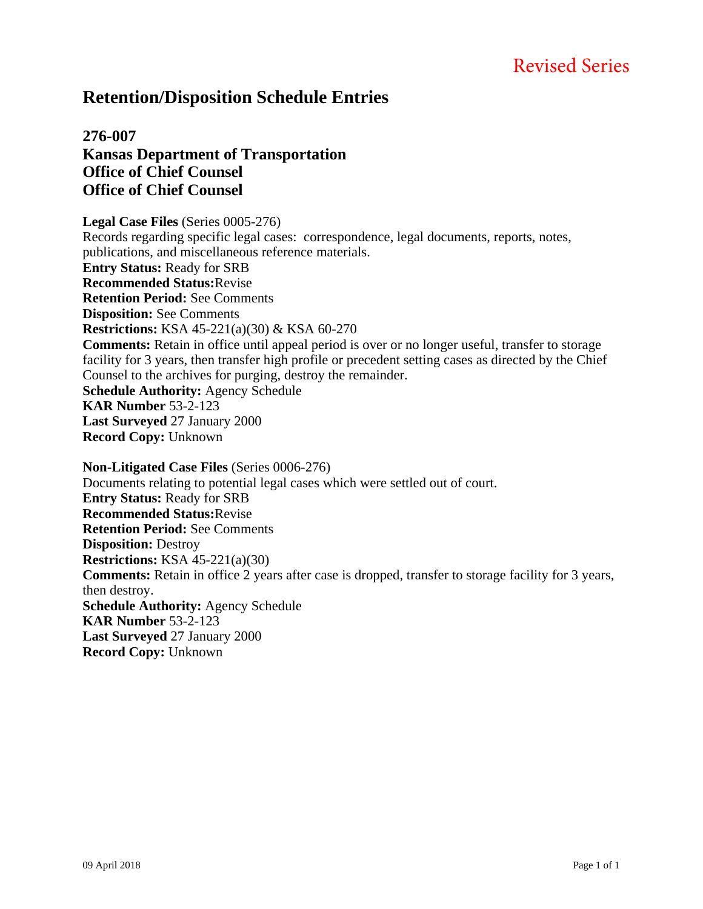## **Retention/Disposition Schedule Entries**

### **276-007 Kansas Department of Transportation Office of Chief Counsel Office of Chief Counsel**

**Legal Case Files** (Series 0005-276) Records regarding specific legal cases: correspondence, legal documents, reports, notes, publications, and miscellaneous reference materials. **Entry Status:** Ready for SRB **Recommended Status:**Revise **Retention Period:** See Comments **Disposition:** See Comments **Restrictions:** KSA 45-221(a)(30) & KSA 60-270 **Comments:** Retain in office until appeal period is over or no longer useful, transfer to storage facility for 3 years, then transfer high profile or precedent setting cases as directed by the Chief Counsel to the archives for purging, destroy the remainder. **Schedule Authority:** Agency Schedule **KAR Number** 53-2-123 **Last Surveyed** 27 January 2000 **Record Copy:** Unknown **Non-Litigated Case Files** (Series 0006-276)

Documents relating to potential legal cases which were settled out of court. **Entry Status:** Ready for SRB **Recommended Status:**Revise **Retention Period:** See Comments **Disposition:** Destroy **Restrictions:** KSA 45-221(a)(30) **Comments:** Retain in office 2 years after case is dropped, transfer to storage facility for 3 years, then destroy. **Schedule Authority:** Agency Schedule **KAR Number** 53-2-123 **Last Surveyed** 27 January 2000 **Record Copy:** Unknown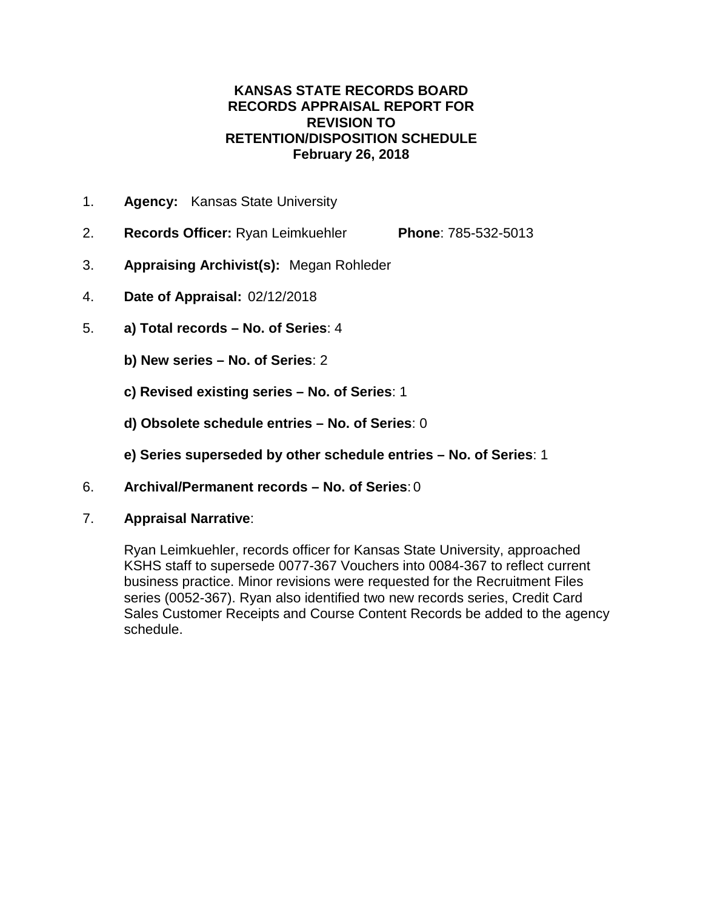#### **KANSAS STATE RECORDS BOARD RECORDS APPRAISAL REPORT FOR REVISION TO RETENTION/DISPOSITION SCHEDULE February 26, 2018**

- 1. **Agency:** Kansas State University
- 2. **Records Officer:** Ryan Leimkuehler **Phone**: 785-532-5013
- 3. **Appraising Archivist(s):** Megan Rohleder
- 4. **Date of Appraisal:** 02/12/2018
- 5. **a) Total records – No. of Series**: 4
	- **b) New series – No. of Series**: 2
	- **c) Revised existing series – No. of Series**: 1
	- **d) Obsolete schedule entries – No. of Series**: 0
	- **e) Series superseded by other schedule entries – No. of Series**: 1
- 6. **Archival/Permanent records – No. of Series**: 0
- 7. **Appraisal Narrative**:

Ryan Leimkuehler, records officer for Kansas State University, approached KSHS staff to supersede 0077-367 Vouchers into 0084-367 to reflect current business practice. Minor revisions were requested for the Recruitment Files series (0052-367). Ryan also identified two new records series, Credit Card Sales Customer Receipts and Course Content Records be added to the agency schedule.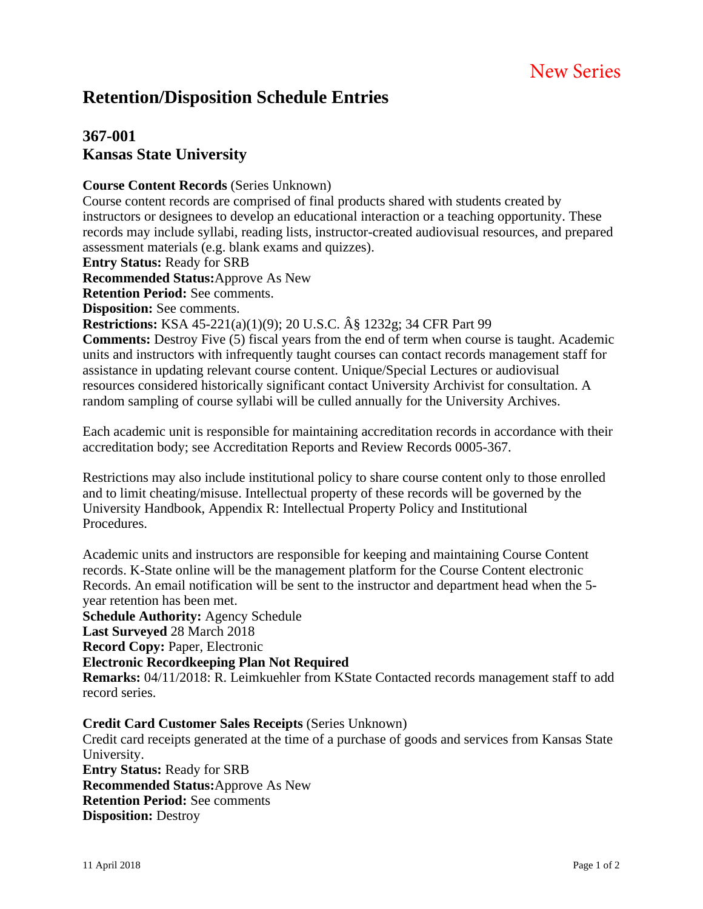# **Retention/Disposition Schedule Entries**

### **367-001 Kansas State University**

#### **Course Content Records** (Series Unknown)

Course content records are comprised of final products shared with students created by instructors or designees to develop an educational interaction or a teaching opportunity. These records may include syllabi, reading lists, instructor-created audiovisual resources, and prepared assessment materials (e.g. blank exams and quizzes).

**Entry Status:** Ready for SRB

**Recommended Status:**Approve As New

**Retention Period:** See comments.

**Disposition:** See comments.

**Restrictions:** KSA 45-221(a)(1)(9); 20 U.S.C. § 1232g; 34 CFR Part 99

**Comments:** Destroy Five (5) fiscal years from the end of term when course is taught. Academic units and instructors with infrequently taught courses can contact records management staff for assistance in updating relevant course content. Unique/Special Lectures or audiovisual resources considered historically significant contact University Archivist for consultation. A random sampling of course syllabi will be culled annually for the University Archives.

Each academic unit is responsible for maintaining accreditation records in accordance with their accreditation body; see Accreditation Reports and Review Records 0005-367.

Restrictions may also include institutional policy to share course content only to those enrolled and to limit cheating/misuse. Intellectual property of these records will be governed by the University Handbook, Appendix R: Intellectual Property Policy and Institutional Procedures.

Academic units and instructors are responsible for keeping and maintaining Course Content records. K-State online will be the management platform for the Course Content electronic Records. An email notification will be sent to the instructor and department head when the 5 year retention has been met.

**Schedule Authority:** Agency Schedule

**Last Surveyed** 28 March 2018

**Record Copy:** Paper, Electronic

#### **Electronic Recordkeeping Plan Not Required**

**Remarks:** 04/11/2018: R. Leimkuehler from KState Contacted records management staff to add record series.

#### **Credit Card Customer Sales Receipts** (Series Unknown)

Credit card receipts generated at the time of a purchase of goods and services from Kansas State University. **Entry Status:** Ready for SRB **Recommended Status:**Approve As New **Retention Period:** See comments

**Disposition:** Destroy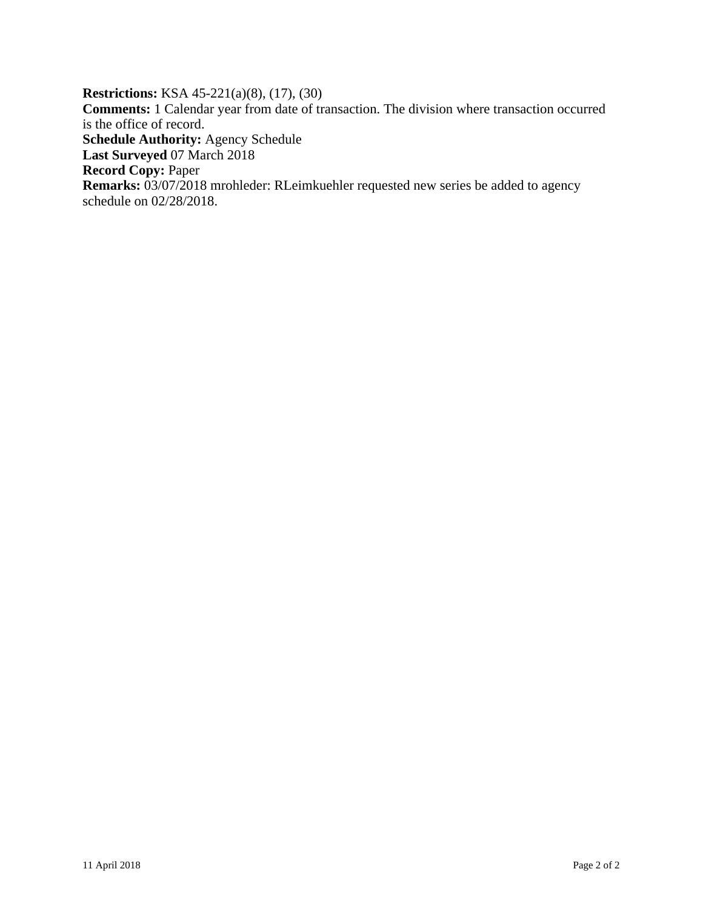**Restrictions:** KSA 45-221(a)(8), (17), (30) **Comments:** 1 Calendar year from date of transaction. The division where transaction occurred is the office of record. **Schedule Authority:** Agency Schedule **Last Surveyed** 07 March 2018 **Record Copy:** Paper **Remarks:** 03/07/2018 mrohleder: RLeimkuehler requested new series be added to agency schedule on 02/28/2018.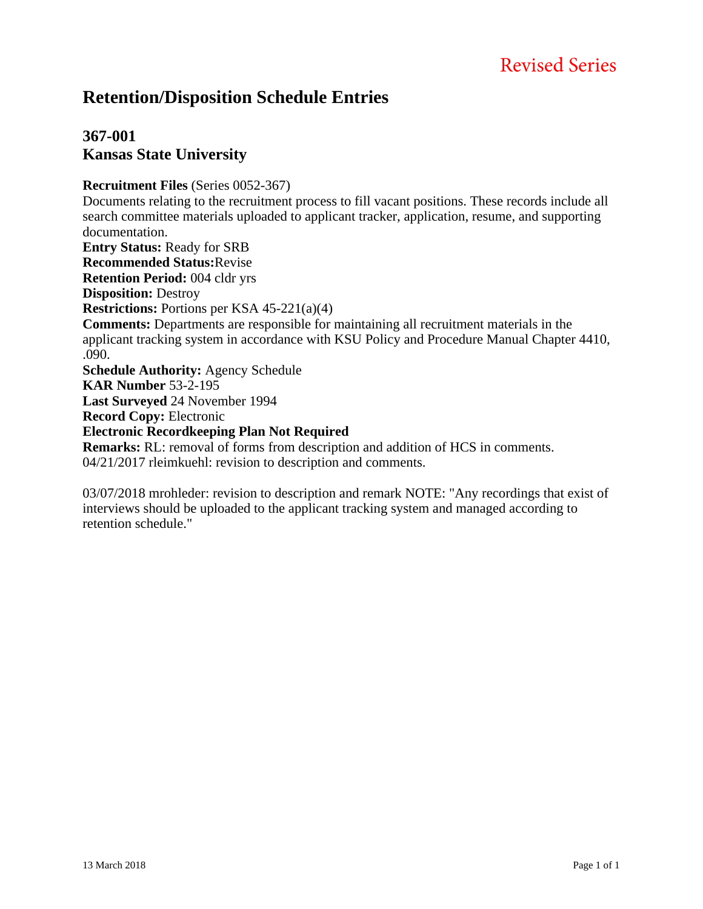# Revised Series

## **Retention/Disposition Schedule Entries**

### **367-001 Kansas State University**

#### **Recruitment Files** (Series 0052-367)

Documents relating to the recruitment process to fill vacant positions. These records include all search committee materials uploaded to applicant tracker, application, resume, and supporting documentation.

**Entry Status:** Ready for SRB

**Recommended Status:**Revise

**Retention Period:** 004 cldr yrs

**Disposition:** Destroy

**Restrictions:** Portions per KSA 45-221(a)(4)

**Comments:** Departments are responsible for maintaining all recruitment materials in the applicant tracking system in accordance with KSU Policy and Procedure Manual Chapter 4410, .090.

**Schedule Authority:** Agency Schedule **KAR Number** 53-2-195

**Last Surveyed** 24 November 1994

**Record Copy:** Electronic

#### **Electronic Recordkeeping Plan Not Required**

**Remarks:** RL: removal of forms from description and addition of HCS in comments. 04/21/2017 rleimkuehl: revision to description and comments.

03/07/2018 mrohleder: revision to description and remark NOTE: "Any recordings that exist of interviews should be uploaded to the applicant tracking system and managed according to retention schedule."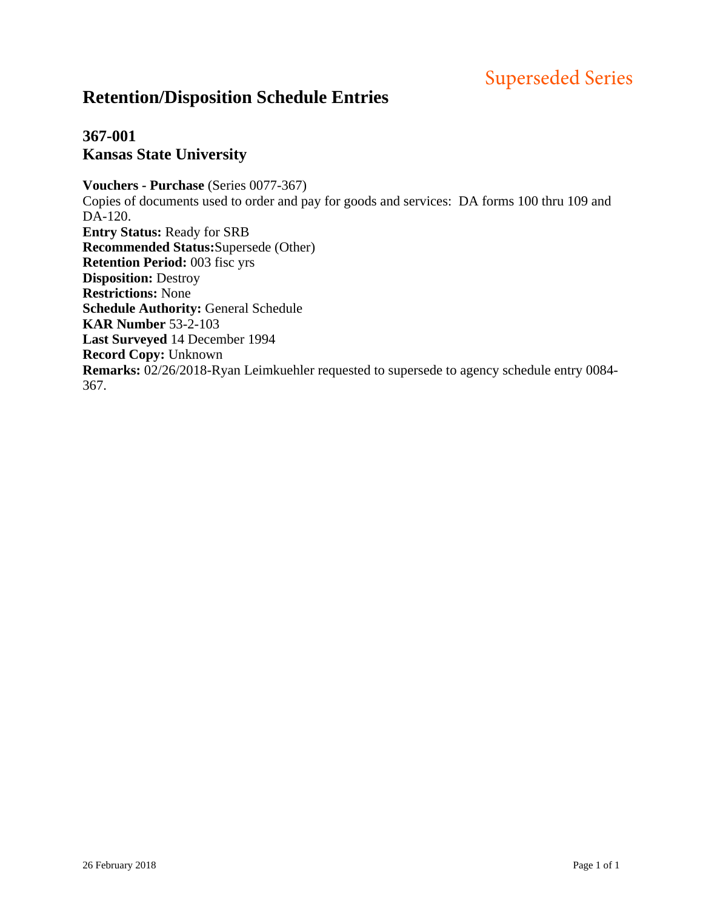# Superseded Series

# **Retention/Disposition Schedule Entries**

### **367-001 Kansas State University**

**Vouchers - Purchase** (Series 0077-367) Copies of documents used to order and pay for goods and services: DA forms 100 thru 109 and DA-120. **Entry Status:** Ready for SRB **Recommended Status:**Supersede (Other) **Retention Period:** 003 fisc yrs **Disposition:** Destroy **Restrictions:** None **Schedule Authority:** General Schedule **KAR Number** 53-2-103 **Last Surveyed** 14 December 1994 **Record Copy:** Unknown **Remarks:** 02/26/2018-Ryan Leimkuehler requested to supersede to agency schedule entry 0084- 367.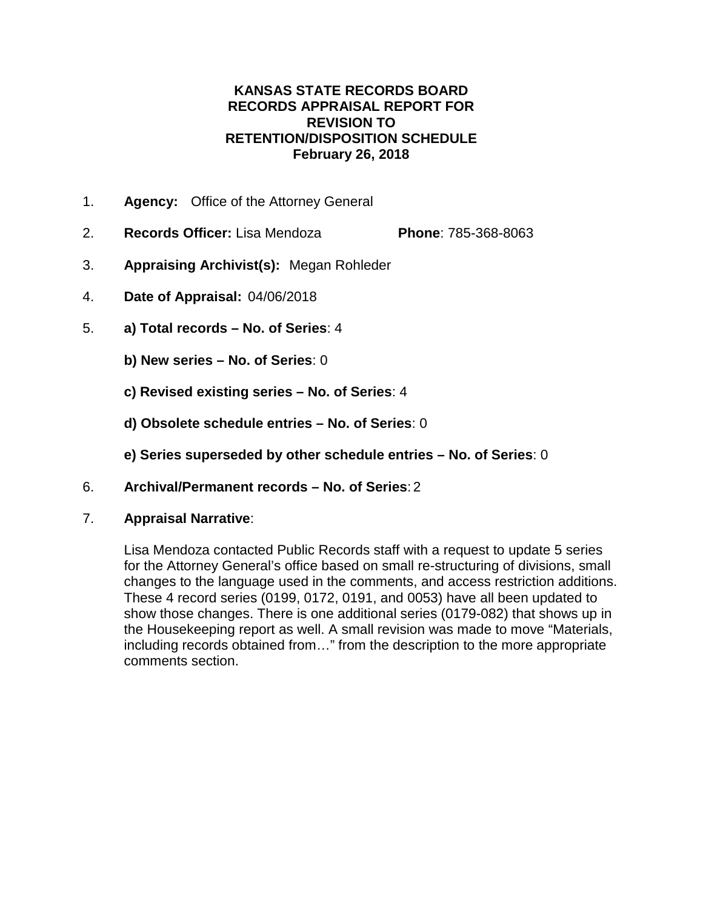#### **KANSAS STATE RECORDS BOARD RECORDS APPRAISAL REPORT FOR REVISION TO RETENTION/DISPOSITION SCHEDULE February 26, 2018**

- 1. **Agency:** Office of the Attorney General
- 2. **Records Officer:** Lisa Mendoza **Phone**: 785-368-8063
- 3. **Appraising Archivist(s):** Megan Rohleder
- 4. **Date of Appraisal:** 04/06/2018
- 5. **a) Total records – No. of Series**: 4
	- **b) New series – No. of Series**: 0
	- **c) Revised existing series – No. of Series**: 4
	- **d) Obsolete schedule entries – No. of Series**: 0
	- **e) Series superseded by other schedule entries – No. of Series**: 0
- 6. **Archival/Permanent records – No. of Series**: 2
- 7. **Appraisal Narrative**:

Lisa Mendoza contacted Public Records staff with a request to update 5 series for the Attorney General's office based on small re-structuring of divisions, small changes to the language used in the comments, and access restriction additions. These 4 record series (0199, 0172, 0191, and 0053) have all been updated to show those changes. There is one additional series (0179-082) that shows up in the Housekeeping report as well. A small revision was made to move "Materials, including records obtained from…" from the description to the more appropriate comments section.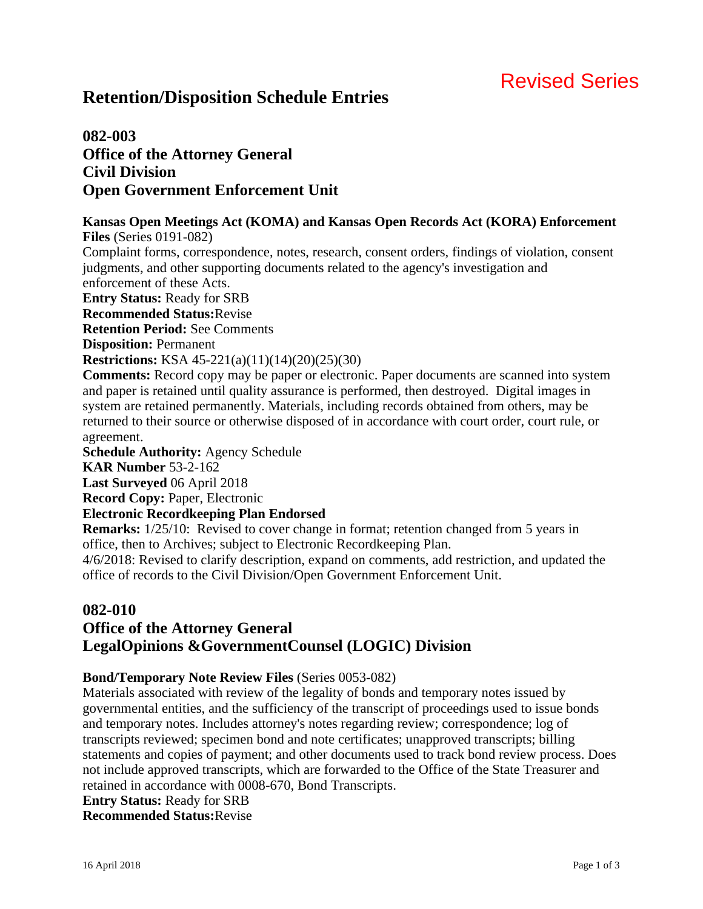# Revised Series

# **Retention/Disposition Schedule Entries**

### **082-003 Office of the Attorney General Civil Division Open Government Enforcement Unit**

#### **Kansas Open Meetings Act (KOMA) and Kansas Open Records Act (KORA) Enforcement Files** (Series 0191-082)

Complaint forms, correspondence, notes, research, consent orders, findings of violation, consent judgments, and other supporting documents related to the agency's investigation and enforcement of these Acts.

**Entry Status:** Ready for SRB

**Recommended Status:**Revise

**Retention Period:** See Comments

**Disposition:** Permanent

**Restrictions:** KSA 45-221(a)(11)(14)(20)(25)(30)

**Comments:** Record copy may be paper or electronic. Paper documents are scanned into system and paper is retained until quality assurance is performed, then destroyed. Digital images in system are retained permanently. Materials, including records obtained from others, may be returned to their source or otherwise disposed of in accordance with court order, court rule, or agreement.

**Schedule Authority:** Agency Schedule

**KAR Number** 53-2-162

**Last Surveyed** 06 April 2018

**Record Copy:** Paper, Electronic

#### **Electronic Recordkeeping Plan Endorsed**

**Remarks:**  $1/25/10$ : Revised to cover change in format; retention changed from 5 years in office, then to Archives; subject to Electronic Recordkeeping Plan.

4/6/2018: Revised to clarify description, expand on comments, add restriction, and updated the office of records to the Civil Division/Open Government Enforcement Unit.

### **082-010 Office of the Attorney General LegalOpinions &GovernmentCounsel (LOGIC) Division**

#### **Bond/Temporary Note Review Files** (Series 0053-082)

Materials associated with review of the legality of bonds and temporary notes issued by governmental entities, and the sufficiency of the transcript of proceedings used to issue bonds and temporary notes. Includes attorney's notes regarding review; correspondence; log of transcripts reviewed; specimen bond and note certificates; unapproved transcripts; billing statements and copies of payment; and other documents used to track bond review process. Does not include approved transcripts, which are forwarded to the Office of the State Treasurer and retained in accordance with 0008-670, Bond Transcripts.

**Entry Status:** Ready for SRB **Recommended Status:**Revise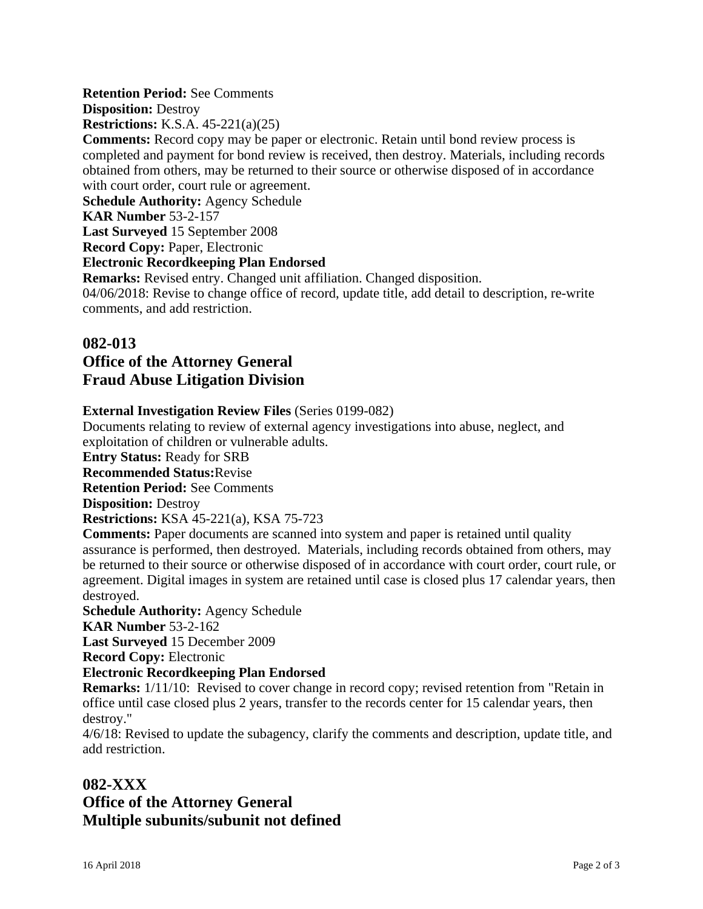#### **Retention Period:** See Comments

**Disposition:** Destroy

**Restrictions:** K.S.A. 45-221(a)(25)

**Comments:** Record copy may be paper or electronic. Retain until bond review process is completed and payment for bond review is received, then destroy. Materials, including records obtained from others, may be returned to their source or otherwise disposed of in accordance with court order, court rule or agreement.

**Schedule Authority:** Agency Schedule

**KAR Number** 53-2-157

**Last Surveyed** 15 September 2008

**Record Copy:** Paper, Electronic

#### **Electronic Recordkeeping Plan Endorsed**

**Remarks:** Revised entry. Changed unit affiliation. Changed disposition.

04/06/2018: Revise to change office of record, update title, add detail to description, re-write comments, and add restriction.

#### **082-013**

### **Office of the Attorney General Fraud Abuse Litigation Division**

#### **External Investigation Review Files** (Series 0199-082)

Documents relating to review of external agency investigations into abuse, neglect, and exploitation of children or vulnerable adults.

**Entry Status:** Ready for SRB

**Recommended Status:**Revise

**Retention Period:** See Comments

**Disposition:** Destroy

**Restrictions:** KSA 45-221(a), KSA 75-723

**Comments:** Paper documents are scanned into system and paper is retained until quality assurance is performed, then destroyed. Materials, including records obtained from others, may be returned to their source or otherwise disposed of in accordance with court order, court rule, or agreement. Digital images in system are retained until case is closed plus 17 calendar years, then destroyed.

**Schedule Authority:** Agency Schedule

**KAR Number** 53-2-162

**Last Surveyed** 15 December 2009

**Record Copy:** Electronic

#### **Electronic Recordkeeping Plan Endorsed**

**Remarks:** 1/11/10: Revised to cover change in record copy; revised retention from "Retain in office until case closed plus 2 years, transfer to the records center for 15 calendar years, then destroy."

4/6/18: Revised to update the subagency, clarify the comments and description, update title, and add restriction.

### **082-XXX**

### **Office of the Attorney General Multiple subunits/subunit not defined**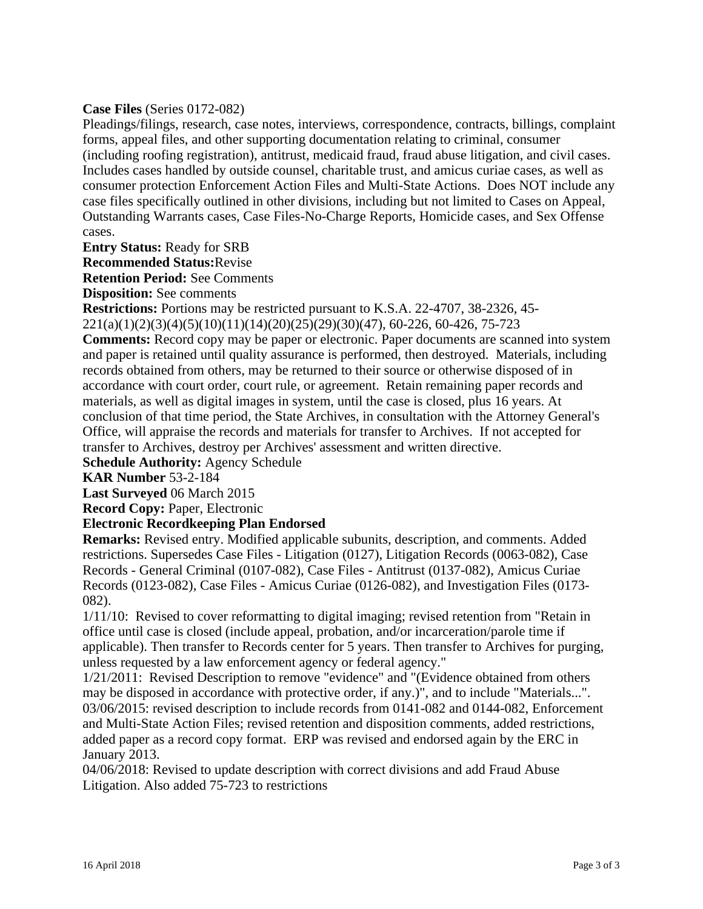#### **Case Files** (Series 0172-082)

Pleadings/filings, research, case notes, interviews, correspondence, contracts, billings, complaint forms, appeal files, and other supporting documentation relating to criminal, consumer (including roofing registration), antitrust, medicaid fraud, fraud abuse litigation, and civil cases. Includes cases handled by outside counsel, charitable trust, and amicus curiae cases, as well as consumer protection Enforcement Action Files and Multi-State Actions. Does NOT include any case files specifically outlined in other divisions, including but not limited to Cases on Appeal, Outstanding Warrants cases, Case Files-No-Charge Reports, Homicide cases, and Sex Offense cases.

**Entry Status:** Ready for SRB

**Recommended Status:**Revise

**Retention Period:** See Comments

**Disposition:** See comments

**Restrictions:** Portions may be restricted pursuant to K.S.A. 22-4707, 38-2326, 45- 221(a)(1)(2)(3)(4)(5)(10)(11)(14)(20)(25)(29)(30)(47), 60-226, 60-426, 75-723

**Comments:** Record copy may be paper or electronic. Paper documents are scanned into system and paper is retained until quality assurance is performed, then destroyed. Materials, including records obtained from others, may be returned to their source or otherwise disposed of in accordance with court order, court rule, or agreement. Retain remaining paper records and materials, as well as digital images in system, until the case is closed, plus 16 years. At conclusion of that time period, the State Archives, in consultation with the Attorney General's Office, will appraise the records and materials for transfer to Archives. If not accepted for transfer to Archives, destroy per Archives' assessment and written directive.

**Schedule Authority:** Agency Schedule

**KAR Number** 53-2-184

**Last Surveyed** 06 March 2015

**Record Copy:** Paper, Electronic

#### **Electronic Recordkeeping Plan Endorsed**

**Remarks:** Revised entry. Modified applicable subunits, description, and comments. Added restrictions. Supersedes Case Files - Litigation (0127), Litigation Records (0063-082), Case Records - General Criminal (0107-082), Case Files - Antitrust (0137-082), Amicus Curiae Records (0123-082), Case Files - Amicus Curiae (0126-082), and Investigation Files (0173- 082).

1/11/10: Revised to cover reformatting to digital imaging; revised retention from "Retain in office until case is closed (include appeal, probation, and/or incarceration/parole time if applicable). Then transfer to Records center for 5 years. Then transfer to Archives for purging, unless requested by a law enforcement agency or federal agency."

1/21/2011: Revised Description to remove "evidence" and "(Evidence obtained from others may be disposed in accordance with protective order, if any.)", and to include "Materials...". 03/06/2015: revised description to include records from 0141-082 and 0144-082, Enforcement and Multi-State Action Files; revised retention and disposition comments, added restrictions, added paper as a record copy format. ERP was revised and endorsed again by the ERC in January 2013.

04/06/2018: Revised to update description with correct divisions and add Fraud Abuse Litigation. Also added 75-723 to restrictions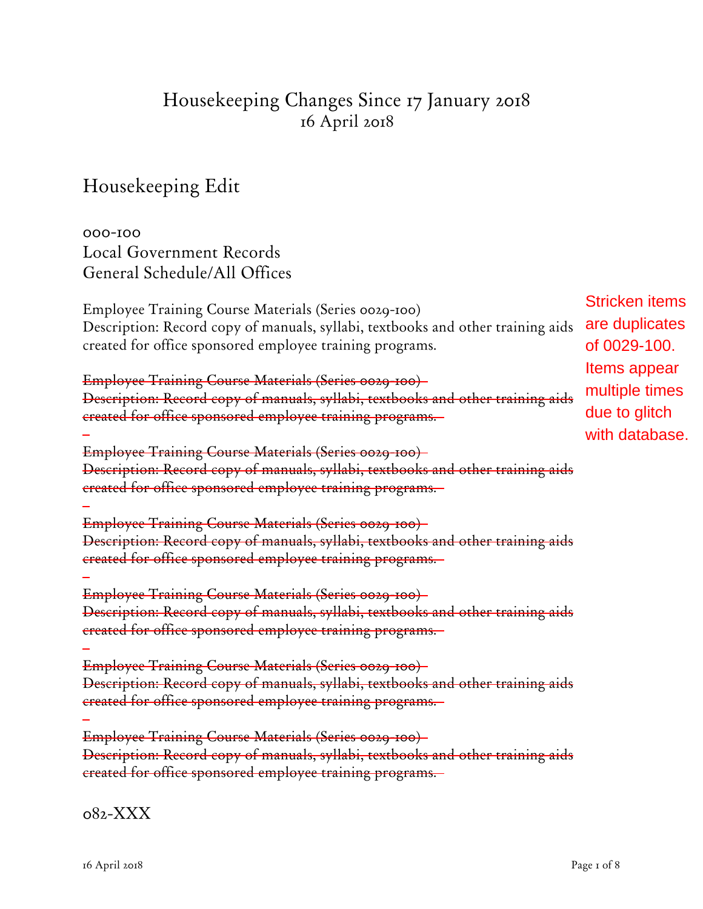# Housekeeping Changes Since 17 January 2018 16 April 2018

Housekeeping Edit

000-100 Local Government Records General Schedule/All Offices

Employee Training Course Materials (Series 0029-100) Description: Record copy of manuals, syllabi, textbooks and other training aids created for office sponsored employee training programs.

Employee Training Course Materials (Series 0029-100) Description: Record copy of manuals, syllabi, textbooks and other training aids created for office sponsored employee training programs.

Employee Training Course Materials (Series 0029-100) Description: Record copy of manuals, syllabi, textbooks and other training aids created for office sponsored employee training programs.

Employee Training Course Materials (Series 0029-100) Description: Record copy of manuals, syllabi, textbooks and other training aids created for office sponsored employee training programs.

Employee Training Course Materials (Series 0029-100) Description: Record copy of manuals, syllabi, textbooks and other training aids created for office sponsored employee training programs.

Employee Training Course Materials (Series 0029-100) Description: Record copy of manuals, syllabi, textbooks and other training aids created for office sponsored employee training programs.

Employee Training Course Materials (Series 0029-100) Description: Record copy of manuals, syllabi, textbooks and other training aids created for office sponsored employee training programs.

Stricken items are duplicates of 0029-100. Items appear multiple times due to glitch with database.

082-XXX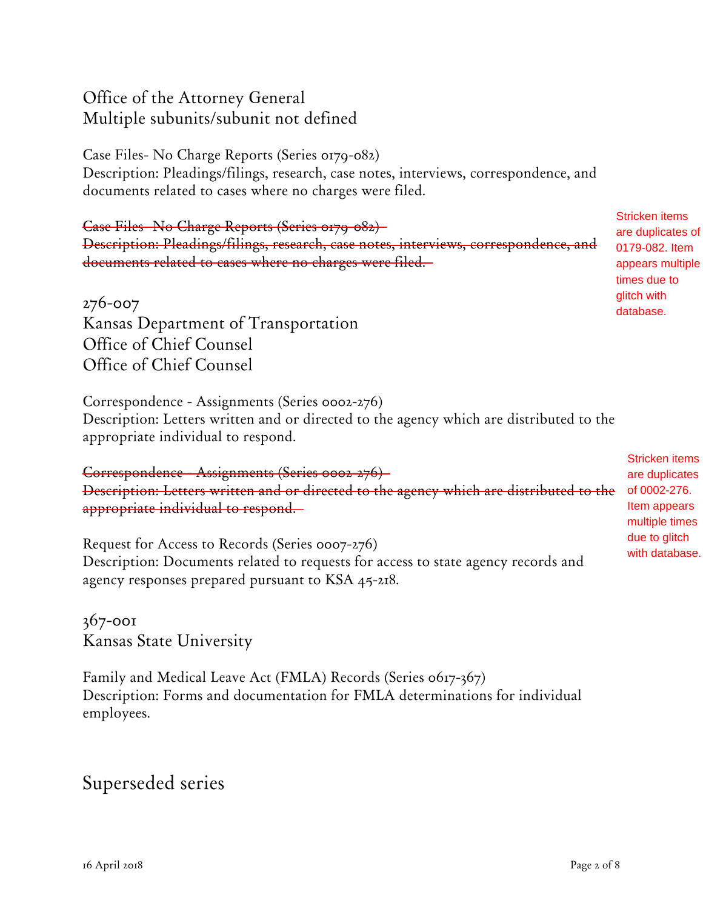# Office of the Attorney General Multiple subunits/subunit not defined

Case Files- No Charge Reports (Series 0179-082) Description: Pleadings/filings, research, case notes, interviews, correspondence, and documents related to cases where no charges were filed.

Case Files- No Charge Reports (Series 0179-082) Description: Pleadings/filings, research, case notes, interviews, correspondence, and documents related to cases where no charges were filed.

276-007 Kansas Department of Transportation Office of Chief Counsel Office of Chief Counsel

Correspondence - Assignments (Series 0002-276) Description: Letters written and or directed to the agency which are distributed to the appropriate individual to respond.

Correspondence - Assignments (Series 0002-276) Description: Letters written and or directed to the agency which are distributed to the appropriate individual to respond.

Request for Access to Records (Series 0007-276) Description: Documents related to requests for access to state agency records and agency responses prepared pursuant to KSA 45-218.

367-001 Kansas State University

Family and Medical Leave Act (FMLA) Records (Series 0617-367) Description: Forms and documentation for FMLA determinations for individual employees.

# Superseded series

are duplicates of 0179-082. Item appears multiple times due to glitch with database.

Stricken items

Stricken items are duplicates of 0002-276. Item appears multiple times due to glitch with database.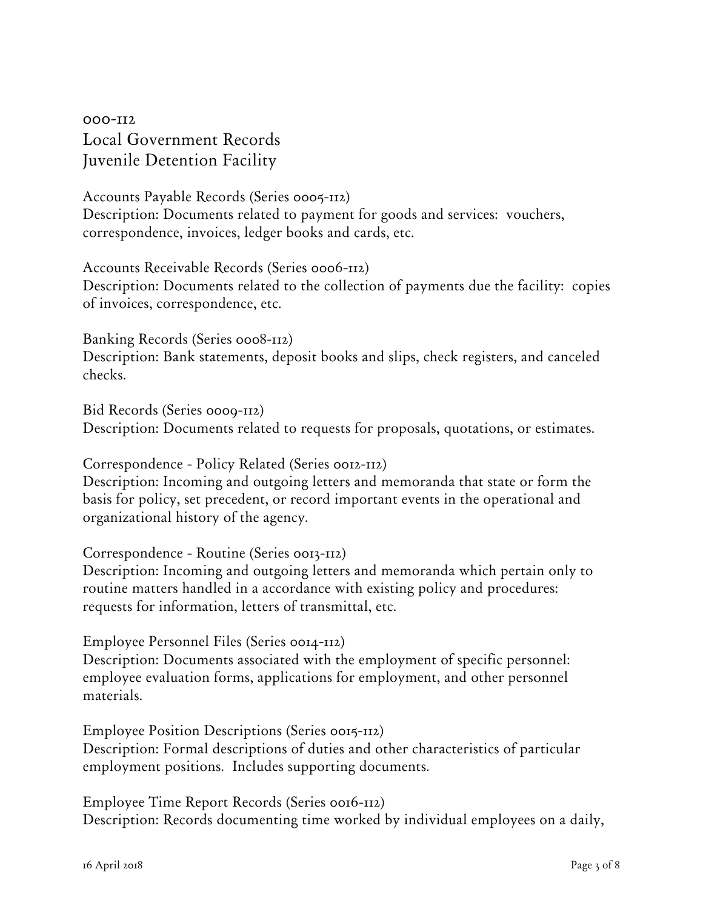000-112 Local Government Records Juvenile Detention Facility

Accounts Payable Records (Series 0005-112) Description: Documents related to payment for goods and services: vouchers, correspondence, invoices, ledger books and cards, etc.

Accounts Receivable Records (Series 0006-112) Description: Documents related to the collection of payments due the facility: copies of invoices, correspondence, etc.

Banking Records (Series 0008-112) Description: Bank statements, deposit books and slips, check registers, and canceled checks.

Bid Records (Series 0009-112) Description: Documents related to requests for proposals, quotations, or estimates.

Correspondence - Policy Related (Series 0012-112) Description: Incoming and outgoing letters and memoranda that state or form the basis for policy, set precedent, or record important events in the operational and organizational history of the agency.

Correspondence - Routine (Series 0013-112) Description: Incoming and outgoing letters and memoranda which pertain only to routine matters handled in a accordance with existing policy and procedures: requests for information, letters of transmittal, etc.

Employee Personnel Files (Series 0014-112) Description: Documents associated with the employment of specific personnel: employee evaluation forms, applications for employment, and other personnel materials.

Employee Position Descriptions (Series 0015-112) Description: Formal descriptions of duties and other characteristics of particular employment positions. Includes supporting documents.

Employee Time Report Records (Series 0016-112) Description: Records documenting time worked by individual employees on a daily,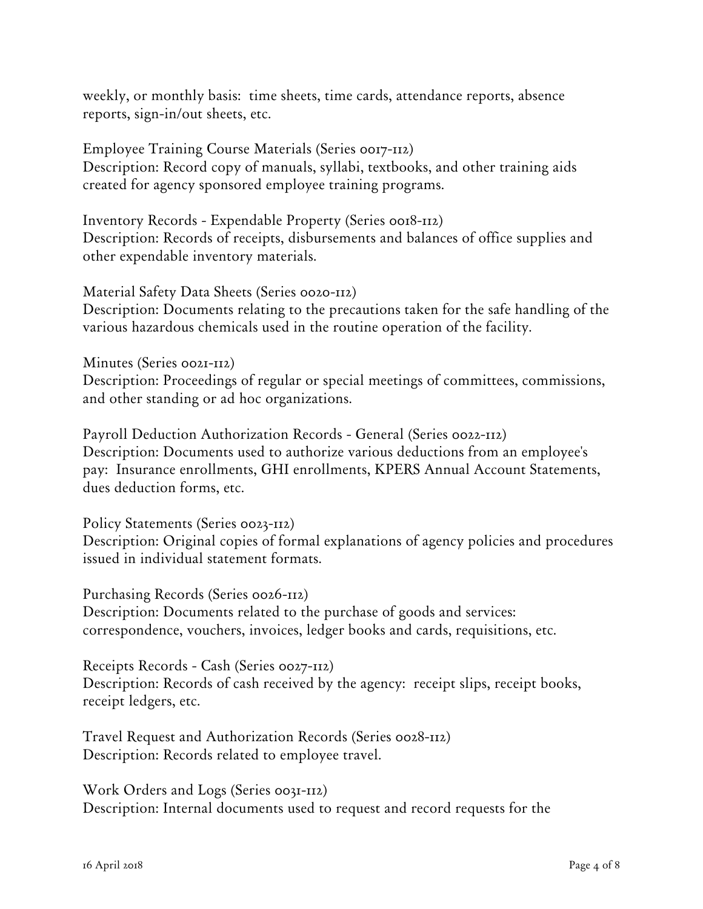weekly, or monthly basis: time sheets, time cards, attendance reports, absence reports, sign-in/out sheets, etc.

Employee Training Course Materials (Series 0017-112) Description: Record copy of manuals, syllabi, textbooks, and other training aids created for agency sponsored employee training programs.

Inventory Records - Expendable Property (Series 0018-112) Description: Records of receipts, disbursements and balances of office supplies and other expendable inventory materials.

Material Safety Data Sheets (Series 0020-112)

Description: Documents relating to the precautions taken for the safe handling of the various hazardous chemicals used in the routine operation of the facility.

Minutes (Series 0021-112)

Description: Proceedings of regular or special meetings of committees, commissions, and other standing or ad hoc organizations.

Payroll Deduction Authorization Records - General (Series 0022-112) Description: Documents used to authorize various deductions from an employee's pay: Insurance enrollments, GHI enrollments, KPERS Annual Account Statements, dues deduction forms, etc.

Policy Statements (Series 0023-112) Description: Original copies of formal explanations of agency policies and procedures issued in individual statement formats.

Purchasing Records (Series 0026-112) Description: Documents related to the purchase of goods and services: correspondence, vouchers, invoices, ledger books and cards, requisitions, etc.

Receipts Records - Cash (Series 0027-112) Description: Records of cash received by the agency: receipt slips, receipt books, receipt ledgers, etc.

Travel Request and Authorization Records (Series 0028-112) Description: Records related to employee travel.

Work Orders and Logs (Series 0031-112) Description: Internal documents used to request and record requests for the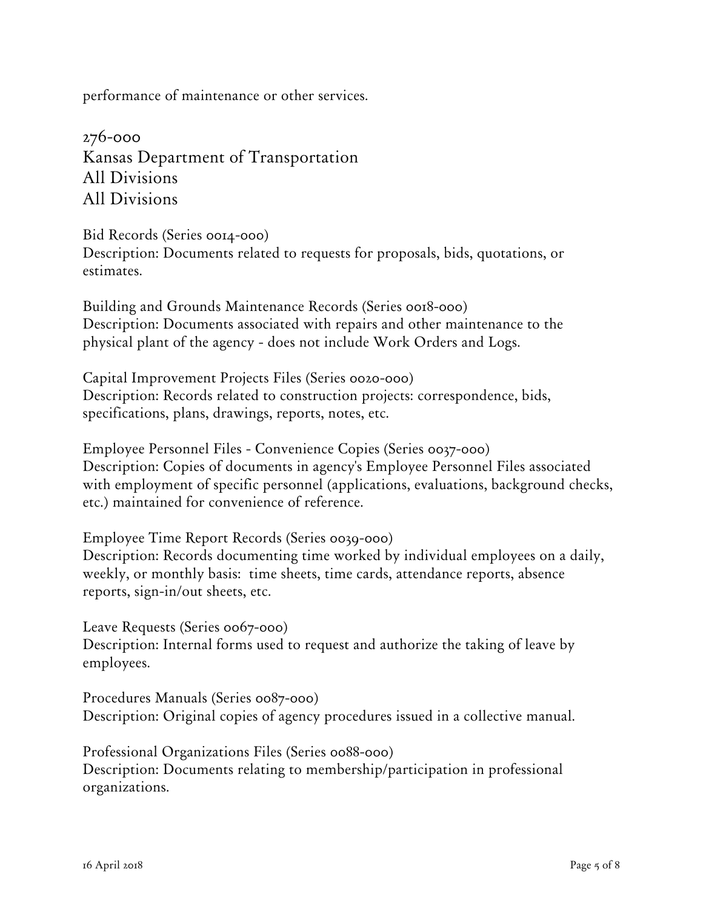performance of maintenance or other services.

276-000 Kansas Department of Transportation All Divisions All Divisions

Bid Records (Series 0014-000)

Description: Documents related to requests for proposals, bids, quotations, or estimates.

Building and Grounds Maintenance Records (Series 0018-000) Description: Documents associated with repairs and other maintenance to the physical plant of the agency - does not include Work Orders and Logs.

Capital Improvement Projects Files (Series 0020-000) Description: Records related to construction projects: correspondence, bids, specifications, plans, drawings, reports, notes, etc.

Employee Personnel Files - Convenience Copies (Series 0037-000) Description: Copies of documents in agency's Employee Personnel Files associated with employment of specific personnel (applications, evaluations, background checks, etc.) maintained for convenience of reference.

Employee Time Report Records (Series 0039-000) Description: Records documenting time worked by individual employees on a daily, weekly, or monthly basis: time sheets, time cards, attendance reports, absence reports, sign-in/out sheets, etc.

Leave Requests (Series 0067-000) Description: Internal forms used to request and authorize the taking of leave by employees.

Procedures Manuals (Series 0087-000) Description: Original copies of agency procedures issued in a collective manual.

Professional Organizations Files (Series 0088-000) Description: Documents relating to membership/participation in professional organizations.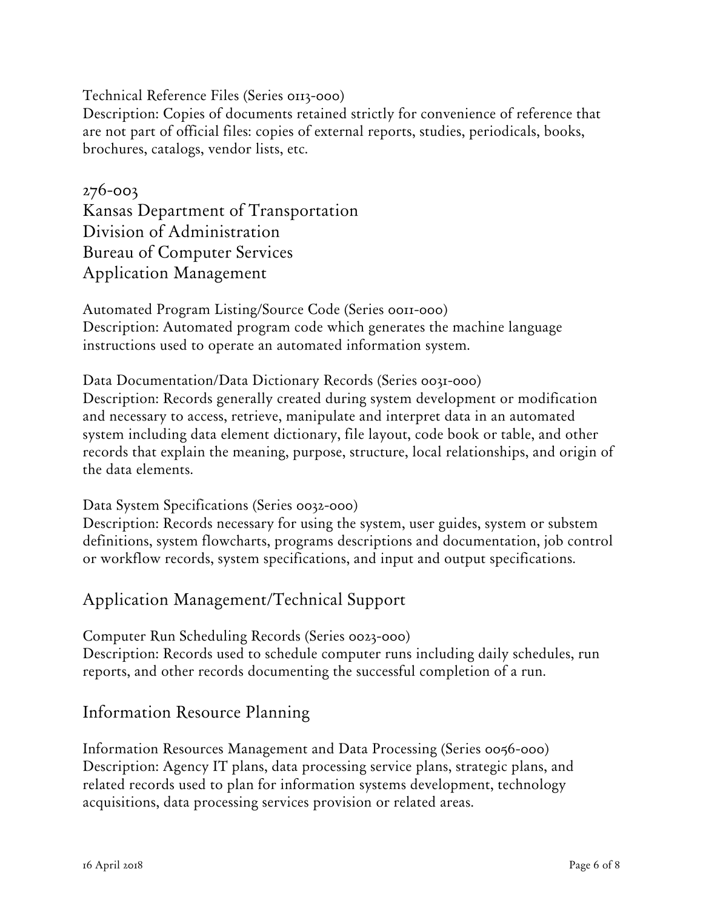Technical Reference Files (Series 0113-000) Description: Copies of documents retained strictly for convenience of reference that are not part of official files: copies of external reports, studies, periodicals, books, brochures, catalogs, vendor lists, etc.

### 276-003

Kansas Department of Transportation Division of Administration Bureau of Computer Services Application Management

Automated Program Listing/Source Code (Series 0011-000) Description: Automated program code which generates the machine language instructions used to operate an automated information system.

Data Documentation/Data Dictionary Records (Series 0031-000) Description: Records generally created during system development or modification and necessary to access, retrieve, manipulate and interpret data in an automated system including data element dictionary, file layout, code book or table, and other records that explain the meaning, purpose, structure, local relationships, and origin of the data elements.

Data System Specifications (Series 0032-000)

Description: Records necessary for using the system, user guides, system or substem definitions, system flowcharts, programs descriptions and documentation, job control or workflow records, system specifications, and input and output specifications.

Application Management/Technical Support

Computer Run Scheduling Records (Series 0023-000) Description: Records used to schedule computer runs including daily schedules, run reports, and other records documenting the successful completion of a run.

### Information Resource Planning

Information Resources Management and Data Processing (Series 0056-000) Description: Agency IT plans, data processing service plans, strategic plans, and related records used to plan for information systems development, technology acquisitions, data processing services provision or related areas.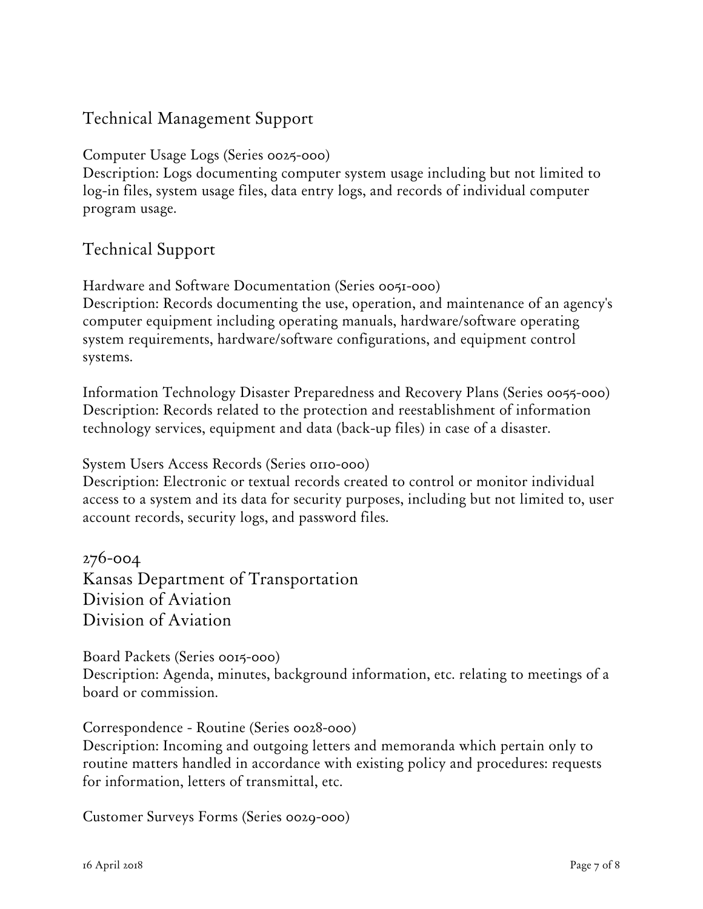## Technical Management Support

Computer Usage Logs (Series 0025-000)

Description: Logs documenting computer system usage including but not limited to log-in files, system usage files, data entry logs, and records of individual computer program usage.

### Technical Support

Hardware and Software Documentation (Series 0051-000)

Description: Records documenting the use, operation, and maintenance of an agency's computer equipment including operating manuals, hardware/software operating system requirements, hardware/software configurations, and equipment control systems.

Information Technology Disaster Preparedness and Recovery Plans (Series 0055-000) Description: Records related to the protection and reestablishment of information technology services, equipment and data (back-up files) in case of a disaster.

System Users Access Records (Series 0110-000)

Description: Electronic or textual records created to control or monitor individual access to a system and its data for security purposes, including but not limited to, user account records, security logs, and password files.

276-004 Kansas Department of Transportation Division of Aviation Division of Aviation

Board Packets (Series 0015-000)

Description: Agenda, minutes, background information, etc. relating to meetings of a board or commission.

### Correspondence - Routine (Series 0028-000)

Description: Incoming and outgoing letters and memoranda which pertain only to routine matters handled in accordance with existing policy and procedures: requests for information, letters of transmittal, etc.

Customer Surveys Forms (Series 0029-000)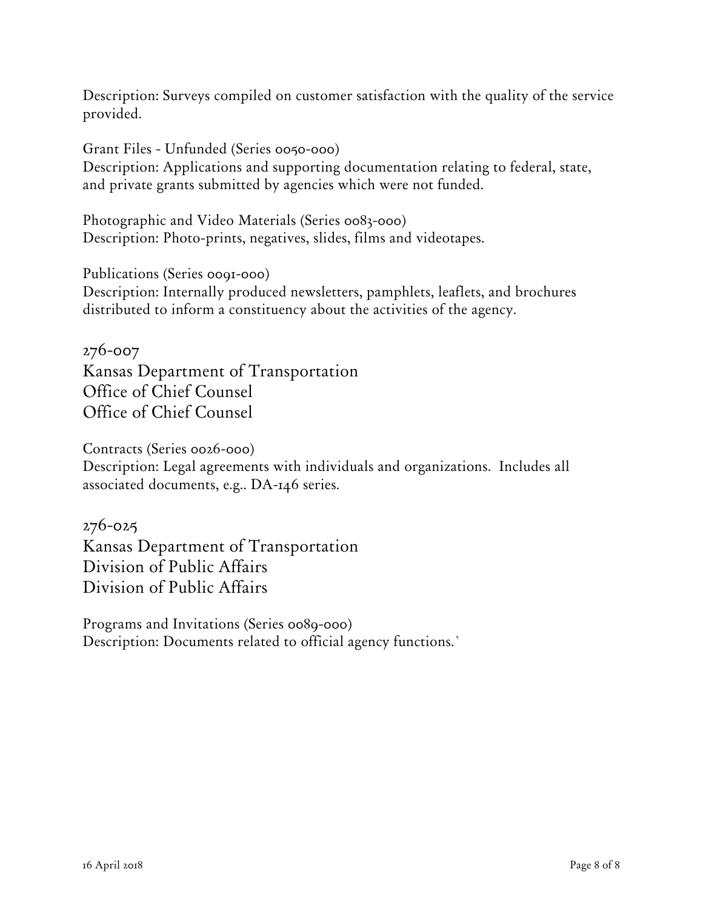Description: Surveys compiled on customer satisfaction with the quality of the service provided.

Grant Files - Unfunded (Series 0050-000) Description: Applications and supporting documentation relating to federal, state, and private grants submitted by agencies which were not funded.

Photographic and Video Materials (Series 0083-000) Description: Photo-prints, negatives, slides, films and videotapes.

Publications (Series 0091-000) Description: Internally produced newsletters, pamphlets, leaflets, and brochures distributed to inform a constituency about the activities of the agency.

276-007 Kansas Department of Transportation Office of Chief Counsel Office of Chief Counsel

Contracts (Series 0026-000)

Description: Legal agreements with individuals and organizations. Includes all associated documents, e.g.. DA-146 series.

276-025

Kansas Department of Transportation Division of Public Affairs Division of Public Affairs

Programs and Invitations (Series 0089-000) Description: Documents related to official agency functions.`